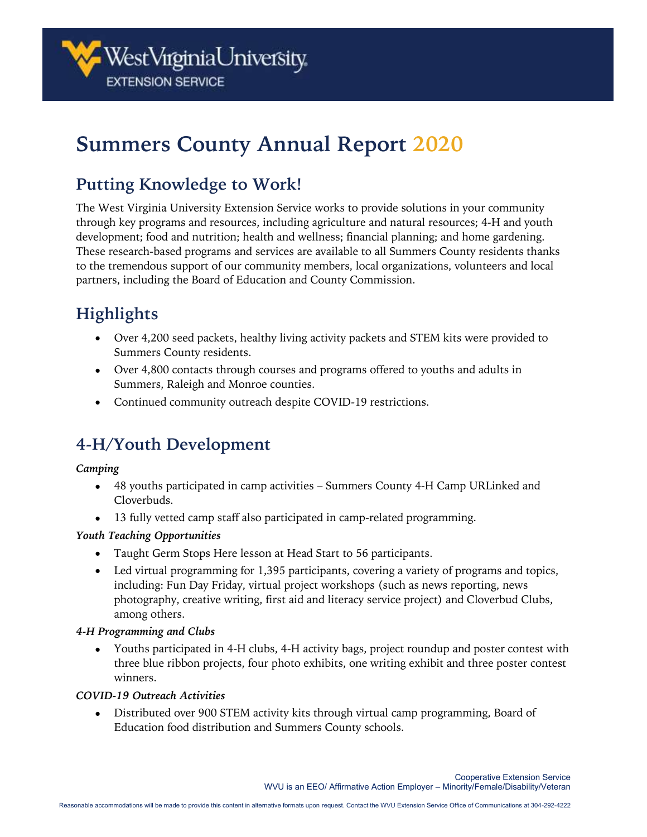

# **Summers County Annual Report 2020**

### **Putting Knowledge to Work!**

The West Virginia University Extension Service works to provide solutions in your community through key programs and resources, including agriculture and natural resources; 4-H and youth development; food and nutrition; health and wellness; financial planning; and home gardening. These research-based programs and services are available to all Summers County residents thanks to the tremendous support of our community members, local organizations, volunteers and local partners, including the Board of Education and County Commission.

## **Highlights**

- Over 4,200 seed packets, healthy living activity packets and STEM kits were provided to Summers County residents.
- Over 4,800 contacts through courses and programs offered to youths and adults in Summers, Raleigh and Monroe counties.
- Continued community outreach despite COVID-19 restrictions.

### **4-H/Youth Development**

#### *Camping*

- 48 youths participated in camp activities Summers County 4-H Camp URLinked and Cloverbuds.
- 13 fully vetted camp staff also participated in camp-related programming.

#### *Youth Teaching Opportunities*

- Taught Germ Stops Here lesson at Head Start to 56 participants.
- Led virtual programming for 1,395 participants, covering a variety of programs and topics, including: Fun Day Friday, virtual project workshops (such as news reporting, news photography, creative writing, first aid and literacy service project) and Cloverbud Clubs, among others.

#### *4-H Programming and Clubs*

• Youths participated in 4-H clubs, 4-H activity bags, project roundup and poster contest with three blue ribbon projects, four photo exhibits, one writing exhibit and three poster contest winners.

#### *COVID-19 Outreach Activities*

• Distributed over 900 STEM activity kits through virtual camp programming, Board of Education food distribution and Summers County schools.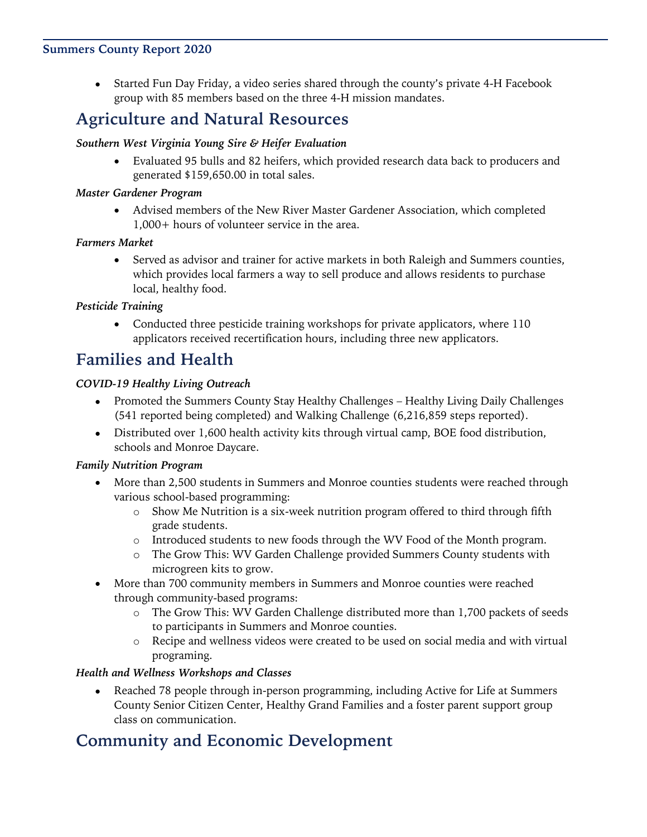#### **Summers County Report 2020**

• Started Fun Day Friday, a video series shared through the county's private 4-H Facebook group with 85 members based on the three 4-H mission mandates.

### **Agriculture and Natural Resources**

#### *Southern West Virginia Young Sire & Heifer Evaluation*

• Evaluated 95 bulls and 82 heifers, which provided research data back to producers and generated \$159,650.00 in total sales.

#### *Master Gardener Program*

• Advised members of the New River Master Gardener Association, which completed 1,000+ hours of volunteer service in the area.

#### *Farmers Market*

• Served as advisor and trainer for active markets in both Raleigh and Summers counties, which provides local farmers a way to sell produce and allows residents to purchase local, healthy food.

#### *Pesticide Training*

• Conducted three pesticide training workshops for private applicators, where 110 applicators received recertification hours, including three new applicators.

### **Families and Health**

#### *COVID-19 Healthy Living Outreach*

- Promoted the Summers County Stay Healthy Challenges Healthy Living Daily Challenges (541 reported being completed) and Walking Challenge (6,216,859 steps reported).
- Distributed over 1,600 health activity kits through virtual camp, BOE food distribution, schools and Monroe Daycare.

#### *Family Nutrition Program*

- More than 2,500 students in Summers and Monroe counties students were reached through various school-based programming:
	- o Show Me Nutrition is a six-week nutrition program offered to third through fifth grade students.
	- o Introduced students to new foods through the WV Food of the Month program.
	- o The Grow This: WV Garden Challenge provided Summers County students with microgreen kits to grow.
- More than 700 community members in Summers and Monroe counties were reached through community-based programs:
	- o The Grow This: WV Garden Challenge distributed more than 1,700 packets of seeds to participants in Summers and Monroe counties.
	- o Recipe and wellness videos were created to be used on social media and with virtual programing.

#### *Health and Wellness Workshops and Classes*

• Reached 78 people through in-person programming, including Active for Life at Summers County Senior Citizen Center, Healthy Grand Families and a foster parent support group class on communication.

### **Community and Economic Development**